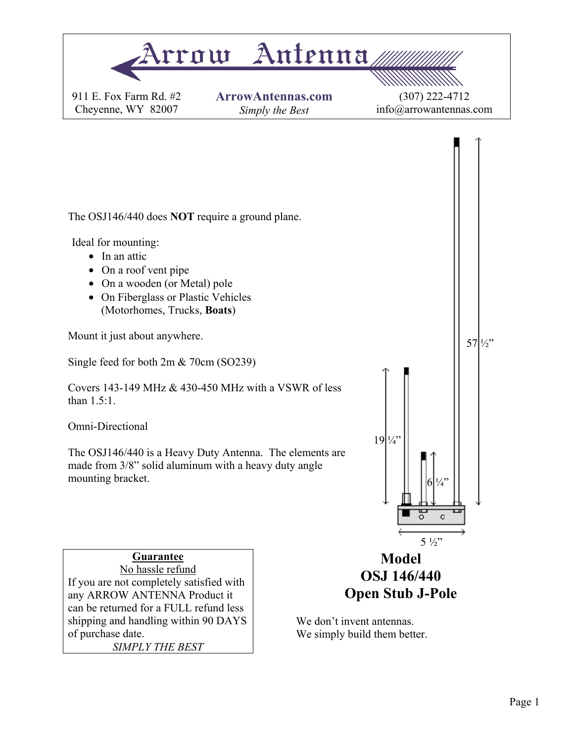

of purchase date.

*SIMPLY THE BEST* 

We don't invent antennas. We simply build them better.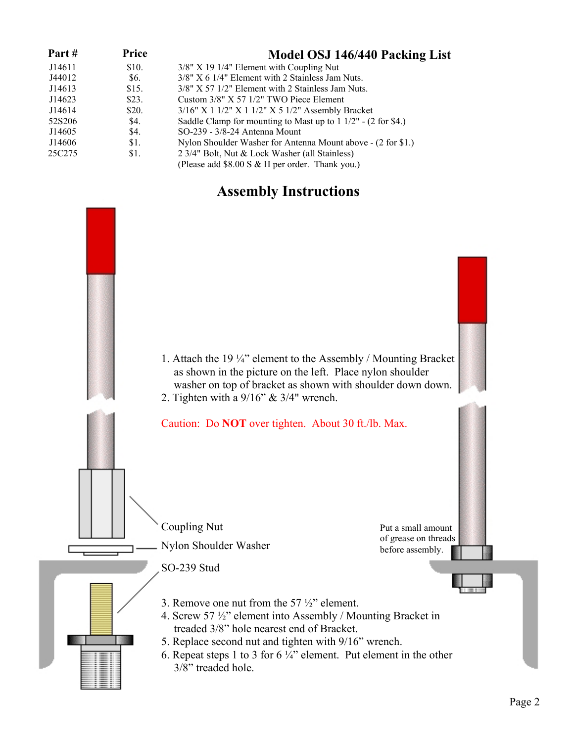| Part#  | Price | Model OSJ 146/440 Packing List                                         |
|--------|-------|------------------------------------------------------------------------|
| J14611 | \$10. | $3/8$ " X 19 1/4" Element with Coupling Nut                            |
| J44012 | \$6.  | 3/8" X 6 1/4" Element with 2 Stainless Jam Nuts.                       |
| J14613 | \$15. | $3/8$ " X 57 $1/2$ " Element with 2 Stainless Jam Nuts.                |
| J14623 | \$23. | Custom $3/8$ " X 57 $1/2$ " TWO Piece Element                          |
| J14614 | \$20. | 3/16" X 1 1/2" X 1 1/2" X 5 1/2" Assembly Bracket                      |
| 52S206 | \$4.  | Saddle Clamp for mounting to Mast up to $1 \frac{1}{2}$ - (2 for \$4.) |
| J14605 | \$4.  | SO-239 - 3/8-24 Antenna Mount                                          |
| J14606 | \$1.  | Nylon Shoulder Washer for Antenna Mount above - (2 for \$1.)           |
| 25C275 | \$1.  | 2 3/4" Bolt, Nut & Lock Washer (all Stainless)                         |
|        |       | (Please add $$8.00 S & H$ per order. Thank you.)                       |

### **Assembly Instructions**

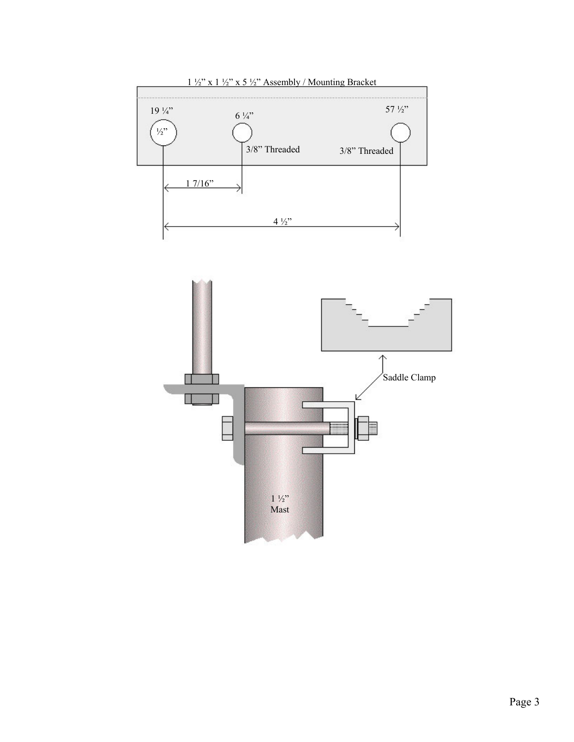

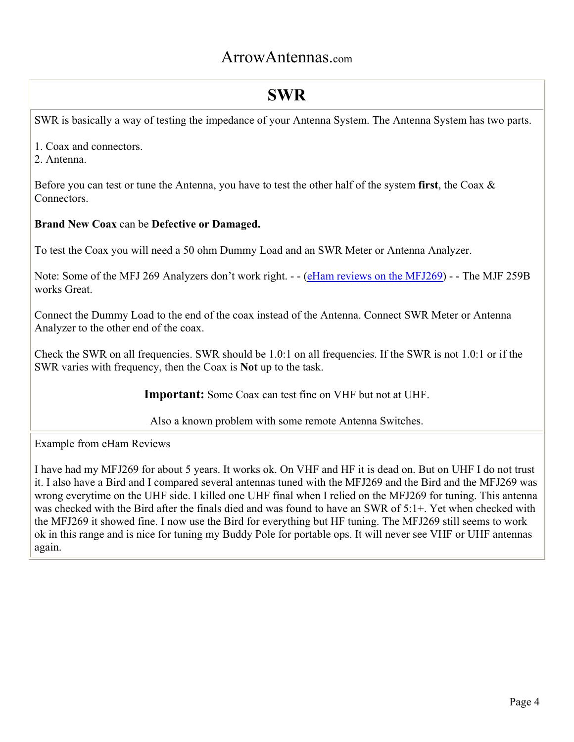## ArrowAntennas.com

## **SWR**

SWR is basically a way of testing the impedance of your Antenna System. The Antenna System has two parts.

- 1. Coax and connectors.
- 2. Antenna.

Before you can test or tune the Antenna, you have to test the other half of the system **first**, the Coax & **Connectors** 

#### **Brand New Coax** can be **Defective or Damaged.**

To test the Coax you will need a 50 ohm Dummy Load and an SWR Meter or Antenna Analyzer.

Note: Some of the MFJ 269 Analyzers don't work right. - - (eHam reviews on the MFJ269) - - The MJF 259B works Great.

Connect the Dummy Load to the end of the coax instead of the Antenna. Connect SWR Meter or Antenna Analyzer to the other end of the coax.

Check the SWR on all frequencies. SWR should be 1.0:1 on all frequencies. If the SWR is not 1.0:1 or if the SWR varies with frequency, then the Coax is **Not** up to the task.

**Important:** Some Coax can test fine on VHF but not at UHF.

Also a known problem with some remote Antenna Switches.

Example from eHam Reviews

I have had my MFJ269 for about 5 years. It works ok. On VHF and HF it is dead on. But on UHF I do not trust it. I also have a Bird and I compared several antennas tuned with the MFJ269 and the Bird and the MFJ269 was wrong everytime on the UHF side. I killed one UHF final when I relied on the MFJ269 for tuning. This antenna was checked with the Bird after the finals died and was found to have an SWR of 5:1+. Yet when checked with the MFJ269 it showed fine. I now use the Bird for everything but HF tuning. The MFJ269 still seems to work ok in this range and is nice for tuning my Buddy Pole for portable ops. It will never see VHF or UHF antennas again.